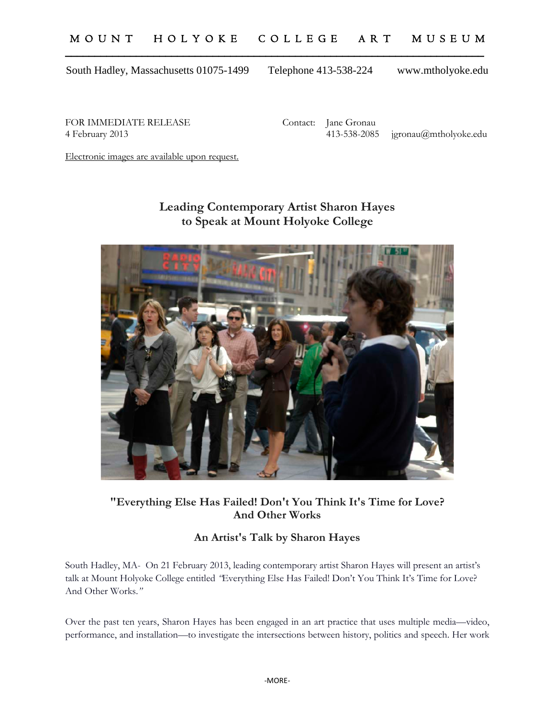# M O U N T H O L Y O K E C O L L E G E A R T M U S E U M \_\_\_\_\_\_\_\_\_\_\_\_\_\_\_\_\_\_\_\_\_\_\_\_\_\_\_\_\_\_\_\_\_\_\_\_\_\_\_\_\_\_\_\_\_\_\_\_\_\_\_\_\_\_\_\_\_\_\_\_\_\_\_\_\_\_\_\_\_\_\_

South Hadley, Massachusetts 01075-1499 Telephone 413-538-224 www.mtholyoke.edu

FOR IMMEDIATE RELEASE Contact: Jane Gronau

4 February 2013 413-538-2085 jgronau@mtholyoke.edu

Electronic images are available upon request.

# **Leading Contemporary Artist Sharon Hayes to Speak at Mount Holyoke College**



### **"Everything Else Has Failed! Don't You Think It's Time for Love? And Other Works**

# **An Artist's Talk by Sharon Hayes**

South Hadley, MA- On 21 February 2013, leading contemporary artist Sharon Hayes will present an artist's talk at Mount Holyoke College entitled *"*Everything Else Has Failed! Don't You Think It's Time for Love? And Other Works.*"* 

Over the past ten years, Sharon Hayes has been engaged in an art practice that uses multiple media—video, performance, and installation—to investigate the intersections between history, politics and speech. Her work